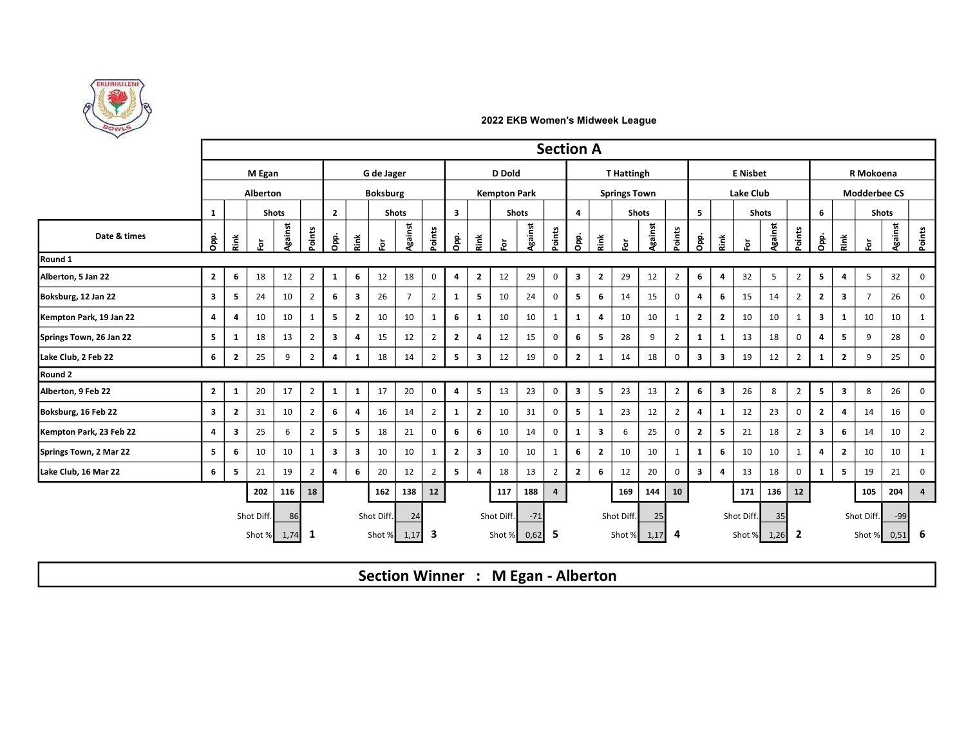

|                         |                         |                         |            |              |                |                         |                         |                 |                |                |                         |                         |                     |         | <b>Section A</b> |                         |                         |                     |              |                |                         |                         |                  |              |                |                |                         |                     |              |              |
|-------------------------|-------------------------|-------------------------|------------|--------------|----------------|-------------------------|-------------------------|-----------------|----------------|----------------|-------------------------|-------------------------|---------------------|---------|------------------|-------------------------|-------------------------|---------------------|--------------|----------------|-------------------------|-------------------------|------------------|--------------|----------------|----------------|-------------------------|---------------------|--------------|--------------|
|                         |                         |                         | M Egan     |              |                |                         |                         | G de Jager      |                |                |                         |                         | D Dold              |         |                  |                         |                         | <b>T</b> Hattingh   |              |                |                         |                         | <b>E</b> Nisbet  |              |                |                |                         | R Mokoena           |              |              |
|                         |                         |                         | Alberton   |              |                |                         |                         | <b>Boksburg</b> |                |                |                         |                         | <b>Kempton Park</b> |         |                  |                         |                         | <b>Springs Town</b> |              |                |                         |                         | <b>Lake Club</b> |              |                |                |                         | <b>Modderbee CS</b> |              |              |
|                         | 1                       |                         |            | <b>Shots</b> |                | $\overline{2}$          |                         |                 | <b>Shots</b>   |                | $\overline{\mathbf{3}}$ |                         |                     | Shots   |                  | $\overline{4}$          |                         |                     | <b>Shots</b> |                | $5^{\circ}$             |                         |                  | <b>Shots</b> |                | 6              |                         |                     | <b>Shots</b> |              |
| Date & times            | Opp.                    | Ě                       | ŏ.         | Against      | Points         | Opp.                    | Rink                    | ŏ.              | Against        | Points         | Opp.                    | Rink                    | ទី                  | Against | Points           | Opp.                    | Rink                    | ŏ.                  | Against      | Points         | Opp.                    | Ř                       | $\overline{5}$   | Against      | Points         | Opp.           | Rink                    | $\bf \bar{e}$       | Against      | Points       |
| Round 1                 |                         |                         |            |              |                |                         |                         |                 |                |                |                         |                         |                     |         |                  |                         |                         |                     |              |                |                         |                         |                  |              |                |                |                         |                     |              |              |
| Alberton, 5 Jan 22      | $\overline{2}$          | 6                       | 18         | 12           | $\overline{2}$ | 1                       | 6                       | 12              | 18             | $\mathsf 0$    | 4                       | $\overline{2}$          | 12                  | 29      | 0                | $\overline{\mathbf{3}}$ | $\overline{2}$          | 29                  | 12           | $\overline{2}$ | 6                       | 4                       | 32               | 5            | $\overline{2}$ | 5 <sub>1</sub> | $\overline{4}$          | 5                   | 32           | $\mathbf 0$  |
| Boksburg, 12 Jan 22     | $\overline{\mathbf{3}}$ | 5                       | 24         | 10           | $\overline{2}$ | 6                       | $\overline{\mathbf{3}}$ | 26              | $\overline{7}$ | $\overline{2}$ | $\mathbf{1}$            | 5                       | 10                  | 24      | 0                | 5                       | 6                       | 14                  | 15           | 0              | $\overline{4}$          | 6                       | 15               | 14           | $\overline{2}$ | $\mathbf{2}$   | $\overline{\mathbf{3}}$ | 7                   | 26           | 0            |
| Kempton Park, 19 Jan 22 | $\overline{4}$          | $\overline{4}$          | 10         | 10           | 1              | 5                       | $\overline{2}$          | 10              | 10             | 1              | 6                       | $\mathbf{1}$            | 10                  | 10      | $\mathbf{1}$     | 1                       | 4                       | 10                  | 10           | 1              | $\overline{2}$          | $\overline{2}$          | 10               | 10           | 1              | $\mathbf{3}$   | $\mathbf{1}$            | 10                  | 10           | $\mathbf{1}$ |
| Springs Town, 26 Jan 22 | 5                       | $\mathbf{1}$            | 18         | 13           | $\overline{2}$ | $\mathbf{3}$            | 4                       | 15              | 12             | $\overline{2}$ | $\mathbf{2}$            | 4                       | 12                  | 15      | 0                | 6                       | 5                       | 28                  | 9            | 2              | 1                       | 1                       | 13               | 18           | 0              | 4              | 5                       | 9                   | 28           | 0            |
| Lake Club, 2 Feb 22     | 6                       | $\overline{2}$          | 25         | 9            | $\overline{2}$ | $\overline{4}$          | 1                       | 18              | 14             | $\overline{2}$ | 5                       | $\overline{\mathbf{3}}$ | 12                  | 19      | $\mathbf 0$      | $\overline{2}$          | 1                       | 14                  | 18           | $\mathbf 0$    | $\overline{\mathbf{3}}$ | 3                       | 19               | 12           | $\overline{2}$ | 1              | $\overline{2}$          | 9                   | 25           | 0            |
| Round 2                 |                         |                         |            |              |                |                         |                         |                 |                |                |                         |                         |                     |         |                  |                         |                         |                     |              |                |                         |                         |                  |              |                |                |                         |                     |              |              |
| Alberton, 9 Feb 22      | $\overline{2}$          | 1                       | 20         | 17           | $\overline{2}$ | 1                       | $\mathbf{1}$            | 17              | 20             | $\mathbf 0$    | 4                       | 5                       | 13                  | 23      | $\mathsf 0$      | $\overline{\mathbf{3}}$ | $5^{\circ}$             | 23                  | 13           | $\overline{2}$ | 6                       | $\overline{\mathbf{3}}$ | 26               | 8            | $\overline{2}$ | 5 <sub>1</sub> | $\overline{\mathbf{3}}$ | 8                   | 26           | $\mathbf 0$  |
| Boksburg, 16 Feb 22     | $\overline{\mathbf{3}}$ | $\overline{2}$          | 31         | 10           | $\overline{2}$ | 6                       | 4                       | 16              | 14             | $\overline{2}$ | 1                       | $\overline{2}$          | 10                  | 31      | 0                | 5                       | <sup>1</sup>            | 23                  | 12           | 2              | $\overline{4}$          | 1                       | 12               | 23           | 0              | $\overline{2}$ | -4                      | 14                  | 16           | 0            |
| Kempton Park, 23 Feb 22 | $\overline{\mathbf{4}}$ | $\overline{\mathbf{3}}$ | 25         | 6            | $\overline{2}$ | 5                       | 5                       | 18              | 21             | $\mathbf 0$    | 6                       | 6                       | 10                  | 14      | 0                | 1                       | $\overline{\mathbf{3}}$ | 6                   | 25           | 0              | $\overline{2}$          | 5                       | 21               | 18           | $\overline{2}$ | $\mathbf{3}$   | 6                       | 14                  | 10           | 2            |
| Springs Town, 2 Mar 22  | 5                       | 6                       | 10         | 10           | 1              | $\overline{\mathbf{3}}$ | 3                       | 10              | 10             | $\mathbf{1}$   | $\overline{2}$          | $\overline{\mathbf{3}}$ | 10                  | 10      | 1                | 6                       | $\overline{2}$          | 10                  | 10           | 1              | $\mathbf{1}$            | 6                       | 10               | 10           |                | 4              | $\overline{2}$          | 10                  | 10           | $\mathbf{1}$ |
| Lake Club, 16 Mar 22    | 6                       | 5                       | 21         | 19           | $\overline{2}$ | $\overline{\mathbf{a}}$ | 6                       | 20              | 12             | 2              | 5                       | $\overline{a}$          | 18                  | 13      | 2                | $\overline{2}$          | 6                       | 12                  | 20           | 0              | $\overline{\mathbf{3}}$ | 4                       | 13               | 18           | $\mathbf 0$    | 1              | 5                       | 19                  | 21           | 0            |
|                         |                         |                         | 202        | 116          | 18             |                         |                         | 162             | 138            | 12             |                         |                         | 117                 | 188     | 4                |                         |                         | 169                 | 144          | 10             |                         |                         | 171              | 136          | 12             |                |                         | 105                 | 204          | 4            |
|                         |                         |                         | Shot Diff. | 86           |                |                         |                         | Shot Diff.      | 24             |                |                         |                         | Shot Diff.          | $-71$   |                  |                         |                         | Shot Diff.          | 25           |                |                         |                         | Shot Diff.       | 35           |                |                |                         | Shot Diff.          | $-99$        |              |
|                         |                         |                         |            |              |                |                         |                         |                 |                |                |                         |                         |                     |         |                  |                         |                         |                     |              |                |                         |                         |                  |              |                |                |                         |                     |              |              |

Section Winner : M Egan - Alberton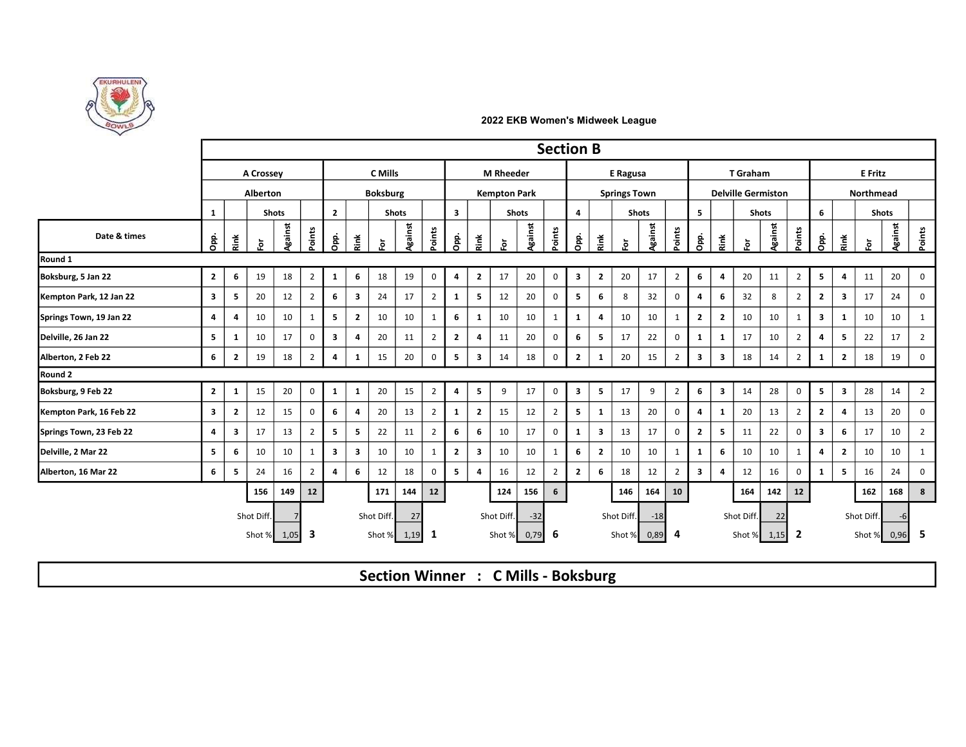

|                         |                         |                |               |              |                |                         |                         |                 |         |                |                         |                         |                     |              | <b>Section B</b> |                         |                         |                     |              |                |                         |                              |                           |              |                |                         |                         |               |                |                |
|-------------------------|-------------------------|----------------|---------------|--------------|----------------|-------------------------|-------------------------|-----------------|---------|----------------|-------------------------|-------------------------|---------------------|--------------|------------------|-------------------------|-------------------------|---------------------|--------------|----------------|-------------------------|------------------------------|---------------------------|--------------|----------------|-------------------------|-------------------------|---------------|----------------|----------------|
|                         |                         |                | A Crossey     |              |                |                         |                         | <b>C</b> Mills  |         |                |                         |                         | <b>M</b> Rheeder    |              |                  |                         |                         | E Ragusa            |              |                |                         |                              | T Graham                  |              |                |                         |                         | E Fritz       |                |                |
|                         |                         |                | Alberton      |              |                |                         |                         | <b>Boksburg</b> |         |                |                         |                         | <b>Kempton Park</b> |              |                  |                         |                         | <b>Springs Town</b> |              |                |                         |                              | <b>Delville Germiston</b> |              |                |                         |                         | Northmead     |                |                |
|                         | 1                       |                |               | <b>Shots</b> |                | $\overline{2}$          |                         | <b>Shots</b>    |         |                | $\overline{\mathbf{3}}$ |                         |                     | <b>Shots</b> |                  | $\overline{4}$          |                         |                     | <b>Shots</b> |                | 5                       |                              |                           | <b>Shots</b> |                | 6                       |                         |               | <b>Shots</b>   |                |
| Date & times            | Opp.                    | Ě              | $\bf \bar{e}$ | Against      | Points         | å                       | Ř                       | 흕               | Against | Points         | Opp.                    | Rink                    | $\bf \bar{e}$       | Against      | Points           | å                       | Ř                       | $\bf \bar{e}$       | Against      | Points         | a<br>O                  | $\check{\tilde{\mathbf{z}}}$ | ŏ.                        | Against      | Points         | Opp.                    | Řink                    | $\bf \bar{e}$ | <b>Against</b> | Points         |
| Round 1                 |                         |                |               |              |                |                         |                         |                 |         |                |                         |                         |                     |              |                  |                         |                         |                     |              |                |                         |                              |                           |              |                |                         |                         |               |                |                |
| Boksburg, 5 Jan 22      | $\overline{2}$          | 6              | 19            | 18           | $\overline{2}$ | 1                       | 6                       | 18              | 19      | $\overline{0}$ | 4                       | $\overline{2}$          | 17                  | 20           | $\mathbf 0$      | $\overline{\mathbf{3}}$ | $\overline{2}$          | 20                  | 17           | $\overline{2}$ | 6                       | 4                            | 20                        | 11           | $\overline{2}$ | 5                       | $\overline{4}$          | 11            | 20             | $\mathbf 0$    |
| Kempton Park, 12 Jan 22 | $\overline{\mathbf{3}}$ | 5              | 20            | 12           | $\overline{2}$ | 6                       | $\overline{\mathbf{3}}$ | 24              | 17      | $\overline{2}$ | 1                       | - 5                     | 12                  | 20           | $\Omega$         | 5                       | 6                       | 8                   | 32           | 0              | $\overline{\mathbf{4}}$ | 6                            | 32                        | 8            | $\overline{2}$ | $\overline{2}$          | $\overline{\mathbf{3}}$ | 17            | 24             | 0              |
| Springs Town, 19 Jan 22 | 4                       | 4              | 10            | 10           | 1              | 5                       | $\overline{2}$          | 10              | 10      | 1              | 6                       | 1                       | 10                  | 10           | 1                | $\mathbf{1}$            | 4                       | 10                  | 10           | 1              | $\overline{2}$          | $\mathbf{2}$                 | 10                        | 10           |                | $\overline{\mathbf{3}}$ | -1                      | 10            | 10             | $\mathbf{1}$   |
| Delville, 26 Jan 22     | 5                       | $\mathbf{1}$   | 10            | 17           | $\mathbf 0$    | 3                       | 4                       | 20              | 11      | $\overline{2}$ | $\mathbf{2}$            | $\overline{\mathbf{4}}$ | 11                  | 20           | $\Omega$         | 6                       | 5                       | 17                  | 22           | 0              | $\mathbf{1}$            | $\mathbf{1}$                 | 17                        | 10           | $\overline{2}$ | $\overline{a}$          | - 5                     | 22            | 17             | $\overline{2}$ |
| Alberton, 2 Feb 22      | 6                       | $\overline{2}$ | 19            | 18           | 2              | $\overline{4}$          | 1                       | 15              | 20      | $\mathbf 0$    | 5                       | $\overline{\mathbf{3}}$ | 14                  | 18           | 0                | $\overline{2}$          | 1                       | 20                  | 15           | $\overline{2}$ | $\overline{\mathbf{3}}$ | 3                            | 18                        | 14           | $\overline{2}$ | 1                       | $\overline{2}$          | 18            | 19             | 0              |
| Round 2                 |                         |                |               |              |                |                         |                         |                 |         |                |                         |                         |                     |              |                  |                         |                         |                     |              |                |                         |                              |                           |              |                |                         |                         |               |                |                |
| Boksburg, 9 Feb 22      | $\overline{2}$          | 1              | 15            | 20           | $\mathbf 0$    | 1                       | $\mathbf{1}$            | 20              | 15      | $\overline{2}$ | 4                       | 5                       | 9                   | 17           | 0                | $\overline{\mathbf{3}}$ | 5                       | 17                  | 9            | $\overline{2}$ | 6                       | $\mathbf{3}$                 | 14                        | 28           | $\mathbf 0$    | 5 <sub>1</sub>          | $\overline{\mathbf{3}}$ | 28            | 14             | $\overline{2}$ |
| Kempton Park, 16 Feb 22 | $\overline{\mathbf{3}}$ | $\overline{2}$ | 12            | 15           | $\mathbf 0$    | 6                       | $\overline{4}$          | 20              | 13      | $\overline{2}$ | 1                       | $\overline{2}$          | 15                  | 12           | 2                | $5^{\circ}$             | 1                       | 13                  | 20           | $\mathbf 0$    | $\overline{4}$          | $\mathbf{1}$                 | 20                        | 13           | 2              | $\overline{2}$          | -4                      | 13            | 20             | 0              |
| Springs Town, 23 Feb 22 | 4                       | 3              | 17            | 13           | 2              | 5                       | 5                       | 22              | 11      | $\overline{2}$ | 6                       | 6                       | 10                  | 17           | 0                | 1                       | $\overline{\mathbf{3}}$ | 13                  | 17           | 0              | $\overline{2}$          | 5                            | 11                        | 22           | $\Omega$       | 3                       | 6                       | 17            | 10             | $\overline{2}$ |
| Delville, 2 Mar 22      | 5 <sub>5</sub>          | 6              | 10            | 10           | $\mathbf{1}$   | $\overline{\mathbf{3}}$ | $\overline{\mathbf{3}}$ | 10              | 10      | 1              | $\mathbf{2}$            | $\overline{\mathbf{3}}$ | 10                  | 10           | 1                | 6                       | $\overline{2}$          | 10                  | 10           | 1              | 1                       | 6                            | 10                        | 10           |                | $\overline{\mathbf{a}}$ | $\overline{2}$          | 10            | 10             | $\mathbf{1}$   |
| Alberton, 16 Mar 22     | 6                       | 5              | 24            | 16           | $\overline{2}$ | $\overline{a}$          | 6                       | 12              | 18      | $\mathbf 0$    | 5                       | $\overline{\mathbf{4}}$ | 16                  | 12           | 2                | $\overline{2}$          | 6                       | 18                  | 12           | $\overline{2}$ | $\overline{\mathbf{3}}$ | 4                            | 12                        | 16           | $\Omega$       |                         | -5                      | 16            | 24             | 0              |
|                         |                         |                | 156           | 149          | 12             |                         |                         | 171             | 144     | 12             |                         |                         | 124                 | 156          | $6\phantom{1}$   |                         |                         | 146                 | 164          | 10             |                         |                              | 164                       | 142          | 12             |                         |                         | 162           | 168            | 8              |
|                         |                         |                | Shot Diff     |              |                |                         |                         | Shot Diff.      | 27      |                |                         |                         | Shot Diff.          | $-32$        |                  |                         |                         | Shot Diff.          | $-18$        |                |                         |                              | Shot Diff.                | 22           |                |                         |                         | Shot Diff.    | -6             |                |
|                         |                         |                |               |              |                |                         |                         |                 |         |                |                         | Shot % 0,79 6           |                     |              |                  |                         |                         |                     |              |                |                         |                              |                           |              |                |                         |                         | Shot % 0,96   |                | -5             |

Section Winner : C Mills - Boksburg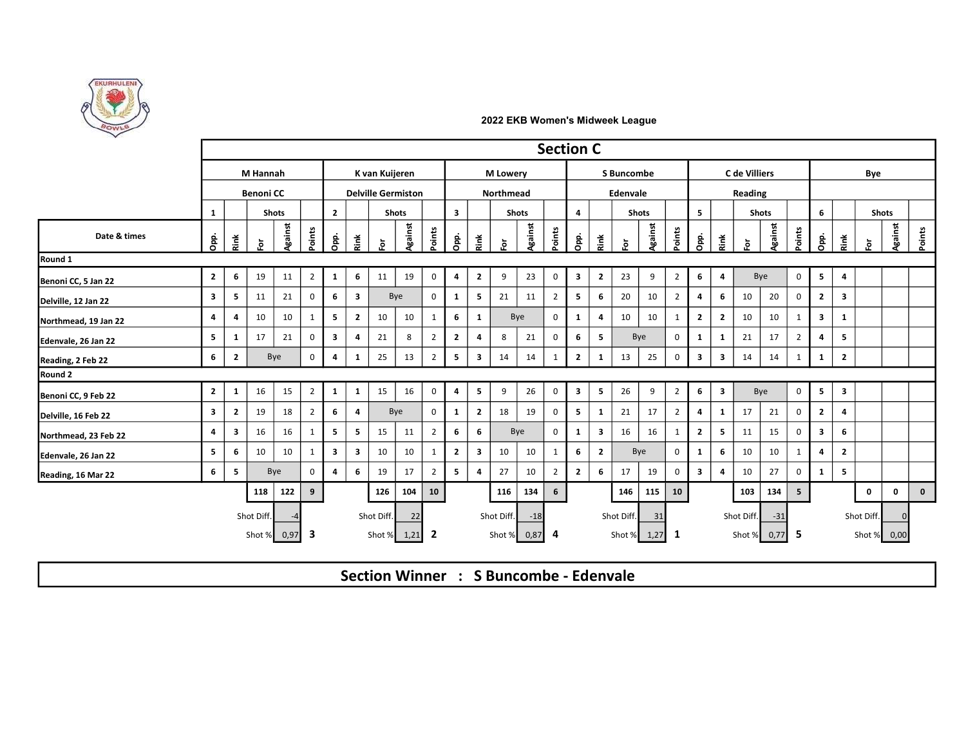

|                      |                         |                         |                  |              |                |                         |                         |                |                           |                         |                         |                         |                 |        | <b>Section C</b> |                         |                         |                   |              |                |                         |                         |               |                |                |                         |                         |               |                |             |  |
|----------------------|-------------------------|-------------------------|------------------|--------------|----------------|-------------------------|-------------------------|----------------|---------------------------|-------------------------|-------------------------|-------------------------|-----------------|--------|------------------|-------------------------|-------------------------|-------------------|--------------|----------------|-------------------------|-------------------------|---------------|----------------|----------------|-------------------------|-------------------------|---------------|----------------|-------------|--|
|                      |                         |                         | M Hannah         |              |                |                         |                         | K van Kuijeren |                           |                         |                         |                         | <b>M</b> Lowery |        |                  |                         |                         | <b>S</b> Buncombe |              |                |                         |                         | C de Villiers |                | Bye            |                         |                         |               |                |             |  |
|                      |                         |                         | <b>Benoni CC</b> |              |                |                         |                         |                | <b>Delville Germiston</b> |                         |                         |                         | Northmead       |        |                  |                         |                         | Edenvale          |              |                |                         |                         | Reading       |                |                |                         |                         |               |                |             |  |
|                      | 1                       |                         |                  | <b>Shots</b> |                | $\overline{2}$          |                         |                | <b>Shots</b>              |                         | $\overline{\mathbf{3}}$ |                         |                 | Shots  |                  | $\overline{a}$          |                         |                   | <b>Shots</b> |                | 5                       |                         |               | <b>Shots</b>   |                | 6                       |                         |               | <b>Shots</b>   |             |  |
| Date & times         | gi<br>Opi               | Ě                       | ŏ.               | Against      | Points         | gi<br>Opp.              | Řink                    | Ğ.             | <b>Ngainst</b>            | Points                  | Opp.                    | Ř                       | ŏ.              | gainst | Points           | D <sub>pp</sub> .       | Rink                    | Ğ.                | Against      | Points         | D <sub>pp</sub> .       | Ě                       | Ğ.            | <b>Against</b> | Points         | Opp.                    | Řink                    | $\bf \bar{e}$ | <b>Against</b> | Points      |  |
| Round 1              |                         |                         |                  |              |                |                         |                         |                |                           |                         |                         |                         |                 |        |                  |                         |                         |                   |              |                |                         |                         |               |                |                |                         |                         |               |                |             |  |
| Benoni CC, 5 Jan 22  | $\overline{2}$          | 6                       | 19               | 11           | $\overline{2}$ | 1                       | 6                       | 11             | 19                        | $\mathbf 0$             | 4                       | $\overline{2}$          | 9               | 23     | $\mathbf 0$      | $\overline{\mathbf{3}}$ | $\overline{2}$          | 23                | 9            | $\overline{2}$ | 6                       | 4                       |               | Bye            | $\mathbf 0$    | 5                       | 4                       |               |                |             |  |
| Delville, 12 Jan 22  | $\overline{\mathbf{3}}$ | 5                       | 11               | 21           | 0              | 6                       | $\overline{\mathbf{3}}$ |                | Bye                       | $\mathsf 0$             | $\mathbf{1}$            | 5                       | 21              | 11     | $\overline{2}$   | $5^{\circ}$             | 6                       | 20                | 10           | $\overline{2}$ | 4                       | 6                       | 10            | 20             | $\mathbf 0$    | $\overline{2}$          | $\overline{\mathbf{3}}$ |               |                |             |  |
| Northmead, 19 Jan 22 | $\overline{4}$          | 4                       | 10               | 10           | 1              | 5                       | $\overline{2}$          | 10             | 10                        | 1                       | 6                       | -1                      |                 | Bye    | 0                | 1                       | $\overline{4}$          | 10                | 10           | 1              | $\overline{2}$          | $\overline{2}$          | 10            | 10             |                | $\mathbf{3}$            | 1                       |               |                |             |  |
| Edenvale, 26 Jan 22  | 5                       | 1                       | 17               | 21           | 0              | $\overline{\mathbf{3}}$ | $\overline{4}$          | 21             | 8                         | $\overline{2}$          | $\overline{2}$          | 4                       | 8               | 21     | 0                | 6                       | 5                       |                   | Bye          | 0              | 1                       | 1                       | 21            | 17             | $\overline{2}$ | 4                       | 5                       |               |                |             |  |
| Reading, 2 Feb 22    | 6                       | $\overline{2}$          |                  | Bye          | $\mathbf 0$    | $\overline{4}$          | 1                       | 25             | 13                        | $\overline{2}$          | 5                       | $\overline{\mathbf{3}}$ | 14              | 14     |                  | $\overline{2}$          | $\mathbf{1}$            | 13                | 25           | $\mathbf 0$    | $\overline{\mathbf{3}}$ | $\overline{\mathbf{3}}$ | 14            | 14             |                | 1                       | $\overline{2}$          |               |                |             |  |
| Round 2              |                         |                         |                  |              |                |                         |                         |                |                           |                         |                         |                         |                 |        |                  |                         |                         |                   |              |                |                         |                         |               |                |                |                         |                         |               |                |             |  |
| Benoni CC, 9 Feb 22  | $\overline{2}$          | 1                       | 16               | 15           | $\overline{2}$ | 1                       | 1                       | 15             | 16                        | $\mathbf 0$             | 4                       | 5                       | 9               | 26     | $\mathbf 0$      | $\overline{\mathbf{3}}$ | 5                       | 26                | 9            | $\overline{2}$ | 6                       | $\overline{\mathbf{3}}$ |               | Bye            | $\mathbf 0$    | 5                       | $\overline{\mathbf{3}}$ |               |                |             |  |
| Delville, 16 Feb 22  | $\overline{\mathbf{3}}$ | $\overline{2}$          | 19               | 18           | $\overline{2}$ | 6                       | 4                       |                | Bye                       | $\mathsf 0$             | $\mathbf{1}$            | $\overline{2}$          | 18              | 19     | 0                | 5                       | <sup>1</sup>            | 21                | 17           | 2              | 4                       | 1                       | 17            | 21             | 0              | $\overline{2}$          | $\overline{a}$          |               |                |             |  |
| Northmead, 23 Feb 22 | $\overline{4}$          | $\overline{\mathbf{3}}$ | 16               | 16           | -1             | 5                       | 5                       | 15             | 11                        | $\overline{2}$          | 6                       | 6                       |                 | Bye    | $\mathbf 0$      | 1                       | $\overline{\mathbf{3}}$ | 16                | 16           | $\mathbf{1}$   | $\overline{2}$          | 5                       | 11            | 15             | 0              | $\overline{\mathbf{3}}$ | 6                       |               |                |             |  |
| Edenvale, 26 Jan 22  | 5                       | 6                       | 10               | 10           | 1              | $\overline{\mathbf{3}}$ | $\overline{\mathbf{3}}$ | 10             | 10                        | 1                       | $\mathbf{2}$            | $\overline{\mathbf{3}}$ | 10              | 10     | 1                | 6                       | $\overline{2}$          |                   | Bye          | $\mathbf 0$    | 1                       | 6                       | 10            | 10             | 1              | 4                       | $\overline{2}$          |               |                |             |  |
| Reading, 16 Mar 22   | 6                       | 5                       |                  | Bye          | 0              | $\overline{4}$          | 6                       | 19             | 17                        | $\overline{2}$          | 5                       | $\overline{4}$          | 27              | 10     | $\overline{2}$   | $\overline{2}$          | 6                       | 17                | 19           | 0              | $\overline{\mathbf{3}}$ | 4                       | 10            | 27             | 0              | 1                       | 5                       |               |                |             |  |
|                      |                         |                         | 118              | 122          | 9              |                         |                         | 126            | 104                       | 10                      |                         |                         | 116             | 134    | 6                |                         |                         | 146               | 115          | 10             |                         |                         | 103           | 134            | 5              |                         |                         | 0             | $\mathbf 0$    | $\mathbf 0$ |  |
|                      |                         |                         | Shot Diff        |              |                |                         |                         | Shot Diff.     | 22                        |                         |                         |                         | Shot Diff.      | $-18$  |                  |                         |                         | Shot Diff.        | 31           |                |                         |                         | Shot Diff.    | $-31$          |                |                         |                         | Shot Diff.    |                |             |  |
|                      |                         |                         | Shot %           | 0,97         | - 3            |                         |                         |                | Shot % 1,21               | $\overline{\mathbf{2}}$ |                         |                         | Shot %          | 0,87   | 4                |                         |                         | Shot %            | $1,27$ 1     |                |                         |                         | Shot %        | $0,77$ 5       |                |                         |                         |               | Shot % 0,00    |             |  |
|                      |                         |                         |                  |              |                |                         |                         |                |                           |                         |                         |                         |                 |        |                  |                         |                         |                   |              |                |                         |                         |               |                |                |                         |                         |               |                |             |  |

Section Winner : S Buncombe - Edenvale